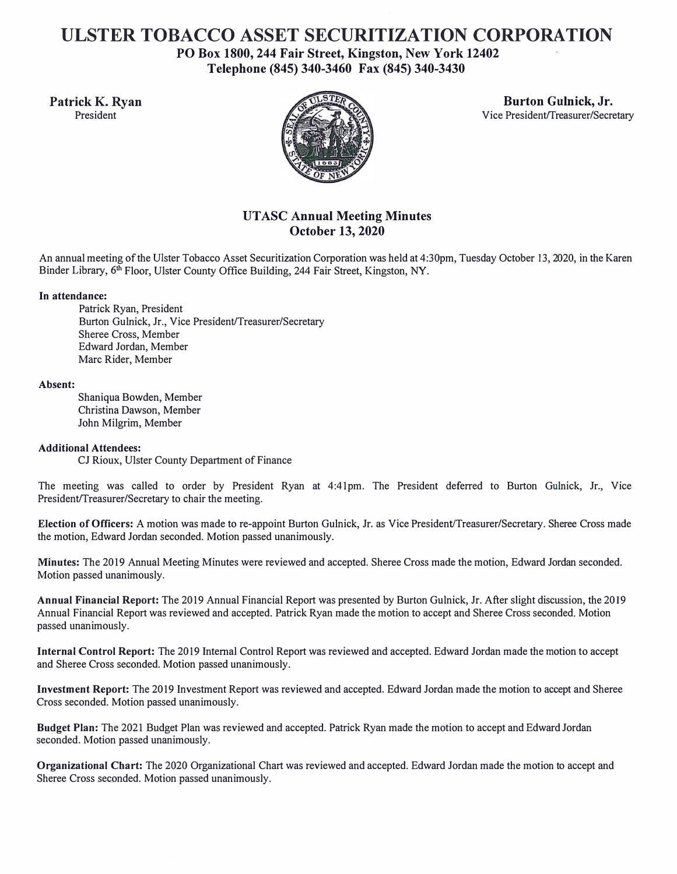# **ULSTER TOBACCO ASSET SECURITIZATION CORPORATION**

**PO Box 1800, 244 Fair Street, Kingston, New York 12402 Telephone (845) 340-3460 Fax (845) 340-3430** 



Patrick K. Ryan Burton Gulnick, Jr. **Burton Gulnick, Jr. Burton Gulnick, Jr. Burton Gulnick, Jr. Burton Gulnick, Jr. President** Vice President/Treasurer/Secretary

# **UT ASC Annual Meeting Minutes October 13, 2020**

An annual meeting of the Ulster Tobacco Asset Securitization Corporation was held at 4:30pm, Tuesday October 13, 2020, in the Karen Binder Library, 6<sup>th</sup> Floor, Ulster County Office Building, 244 Fair Street, Kingston, NY.

## **In attendance:**

Patrick Ryan, President Burton Gulnick, Jr., Vice President/Treasurer/Secretary Sheree Cross, Member Edward Jordan, Member Marc Rider, Member

### **Absent:**

Shaniqua Bowden, Member Christina Dawson, Member John Milgrim, Member

### **Additional Attendees:**

CJ Rioux, Ulster County Department of Finance

The meeting was called to order by President Ryan at 4:41pm. The President deferred to Burton Gulnick, Jr., Vice President/Treasurer/Secretary to chair the meeting.

**Election of Officers:** A motion was made to re-appoint Burton Gulnick, Jr. as Vice President/Treasurer/Secretary. Sheree Cross made the motion, Edward Jordan seconded. Motion passed unanimously.

**Minutes:** The 2019 Annual Meeting Minutes were reviewed and accepted. Sheree Cross made the motion, Edward Jordan seconded. Motion passed unanimously.

**Annual Financial Report:** The 2019 Annual Financial Report was presented by Burton Gulnick, Jr. After slight discussion, the 2019 Annual Financial Report was reviewed and accepted. Patrick Ryan made the motion to accept and Sheree Cross seconded. Motion passed unanimously.

**Internal Control Report:** The 2019 Internal Control Report was reviewed and accepted. Edward Jordan made the motion to accept and Sheree Cross seconded. Motion passed unanimously.

**Investment Report:** The 2019 Investment Report was reviewed and accepted. Edward Jordan made the motion to accept and Sheree Cross seconded. Motion passed unanimously.

**Budget Plan:** The 2021 Budget Plan was reviewed and accepted. Patrick Ryan made the motion to accept and Edward Jordan seconded. Motion passed unanimously.

**Organizational Chart:** The 2020 Organizational Chart was reviewed and accepted. Edward Jordan made the motion to accept and Sheree Cross seconded. Motion passed unanimously.